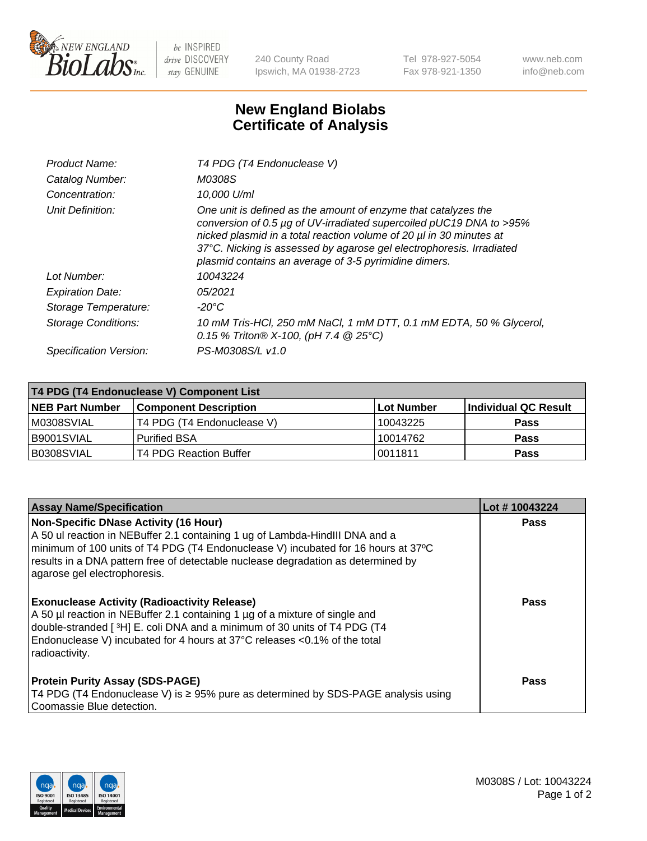

 $be$  INSPIRED drive DISCOVERY stay GENUINE

240 County Road Ipswich, MA 01938-2723 Tel 978-927-5054 Fax 978-921-1350 www.neb.com info@neb.com

## **New England Biolabs Certificate of Analysis**

| Product Name:              | T4 PDG (T4 Endonuclease V)                                                                                                                                                                                                                                                                                                                    |
|----------------------------|-----------------------------------------------------------------------------------------------------------------------------------------------------------------------------------------------------------------------------------------------------------------------------------------------------------------------------------------------|
| Catalog Number:            | M0308S                                                                                                                                                                                                                                                                                                                                        |
| Concentration:             | 10.000 U/ml                                                                                                                                                                                                                                                                                                                                   |
| Unit Definition:           | One unit is defined as the amount of enzyme that catalyzes the<br>conversion of 0.5 µg of UV-irradiated supercoiled pUC19 DNA to >95%<br>nicked plasmid in a total reaction volume of 20 µl in 30 minutes at<br>37°C. Nicking is assessed by agarose gel electrophoresis. Irradiated<br>plasmid contains an average of 3-5 pyrimidine dimers. |
| Lot Number:                | 10043224                                                                                                                                                                                                                                                                                                                                      |
| <b>Expiration Date:</b>    | 05/2021                                                                                                                                                                                                                                                                                                                                       |
| Storage Temperature:       | $-20^{\circ}$ C                                                                                                                                                                                                                                                                                                                               |
| <b>Storage Conditions:</b> | 10 mM Tris-HCl, 250 mM NaCl, 1 mM DTT, 0.1 mM EDTA, 50 % Glycerol,<br>0.15 % Triton® X-100, (pH 7.4 @ 25°C)                                                                                                                                                                                                                                   |
| Specification Version:     | PS-M0308S/L v1.0                                                                                                                                                                                                                                                                                                                              |

| T4 PDG (T4 Endonuclease V) Component List |                              |              |                      |  |
|-------------------------------------------|------------------------------|--------------|----------------------|--|
| <b>NEB Part Number</b>                    | <b>Component Description</b> | l Lot Number | Individual QC Result |  |
| M0308SVIAL                                | T4 PDG (T4 Endonuclease V)   | 10043225     | <b>Pass</b>          |  |
| B9001SVIAL                                | <b>Purified BSA</b>          | 10014762     | <b>Pass</b>          |  |
| B0308SVIAL                                | T4 PDG Reaction Buffer       | 10011811     | <b>Pass</b>          |  |

| <b>Assay Name/Specification</b>                                                                                                                                                                                                                                                                                                        | Lot #10043224 |
|----------------------------------------------------------------------------------------------------------------------------------------------------------------------------------------------------------------------------------------------------------------------------------------------------------------------------------------|---------------|
| <b>Non-Specific DNase Activity (16 Hour)</b><br>A 50 ul reaction in NEBuffer 2.1 containing 1 ug of Lambda-HindIII DNA and a<br>minimum of 100 units of T4 PDG (T4 Endonuclease V) incubated for 16 hours at 37°C<br>results in a DNA pattern free of detectable nuclease degradation as determined by<br>agarose gel electrophoresis. | <b>Pass</b>   |
| <b>Exonuclease Activity (Radioactivity Release)</b><br>A 50 µl reaction in NEBuffer 2.1 containing 1 µg of a mixture of single and<br>double-stranded [3H] E. coli DNA and a minimum of 30 units of T4 PDG (T4<br>Endonuclease V) incubated for 4 hours at 37°C releases <0.1% of the total<br>radioactivity.                          | <b>Pass</b>   |
| <b>Protein Purity Assay (SDS-PAGE)</b><br>T4 PDG (T4 Endonuclease V) is ≥ 95% pure as determined by SDS-PAGE analysis using<br>Coomassie Blue detection.                                                                                                                                                                               | Pass          |